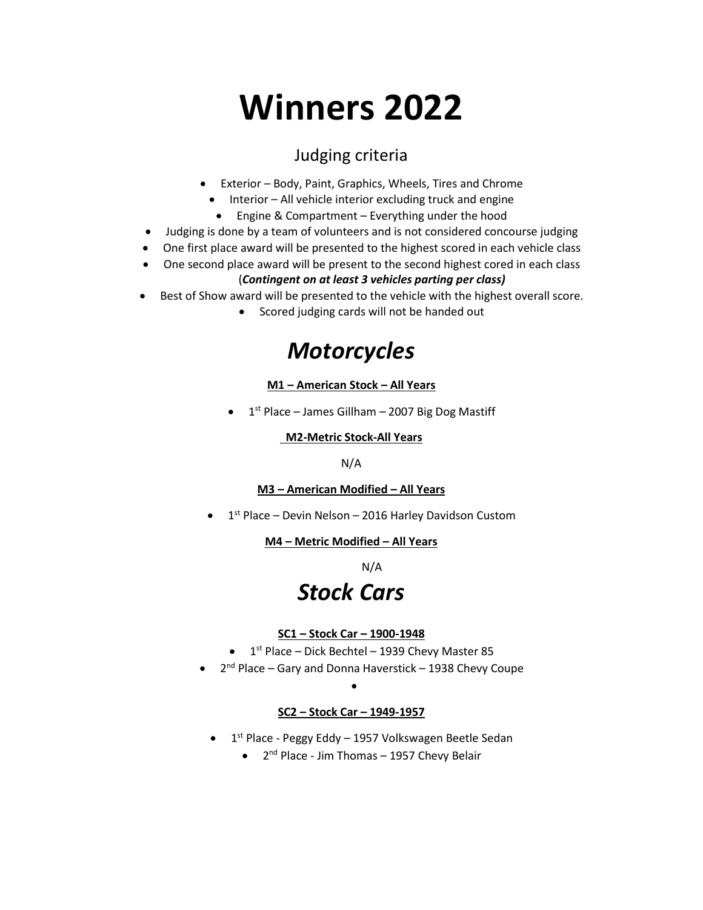# **Winners 2022**

### Judging criteria

- Exterior Body, Paint, Graphics, Wheels, Tires and Chrome
	- Interior All vehicle interior excluding truck and engine
	- Engine & Compartment Everything under the hood
- Judging is done by a team of volunteers and is not considered concourse judging
- One first place award will be presented to the highest scored in each vehicle class
- One second place award will be present to the second highest cored in each class (*Contingent on at least 3 vehicles parting per class)*
- Best of Show award will be presented to the vehicle with the highest overall score.
	- Scored judging cards will not be handed out

### *Motorcycles*

#### **M1 – American Stock – All Years**

 $\bullet$  1<sup>st</sup> Place – James Gillham – 2007 Big Dog Mastiff

#### **M2-Metric Stock-All Years**

#### N/A

#### **M3 – American Modified – All Years**

 $\bullet$  1<sup>st</sup> Place – Devin Nelson – 2016 Harley Davidson Custom

#### **M4 – Metric Modified – All Years**

N/A

### *Stock Cars*

#### **SC1 – Stock Car – 1900-1948**

- $\bullet$  1<sup>st</sup> Place Dick Bechtel 1939 Chevy Master 85
- 2<sup>nd</sup> Place Gary and Donna Haverstick 1938 Chevy Coupe

#### **SC2 – Stock Car – 1949-1957**

•

- 1<sup>st</sup> Place Peggy Eddy 1957 Volkswagen Beetle Sedan
	- 2<sup>nd</sup> Place Jim Thomas 1957 Chevy Belair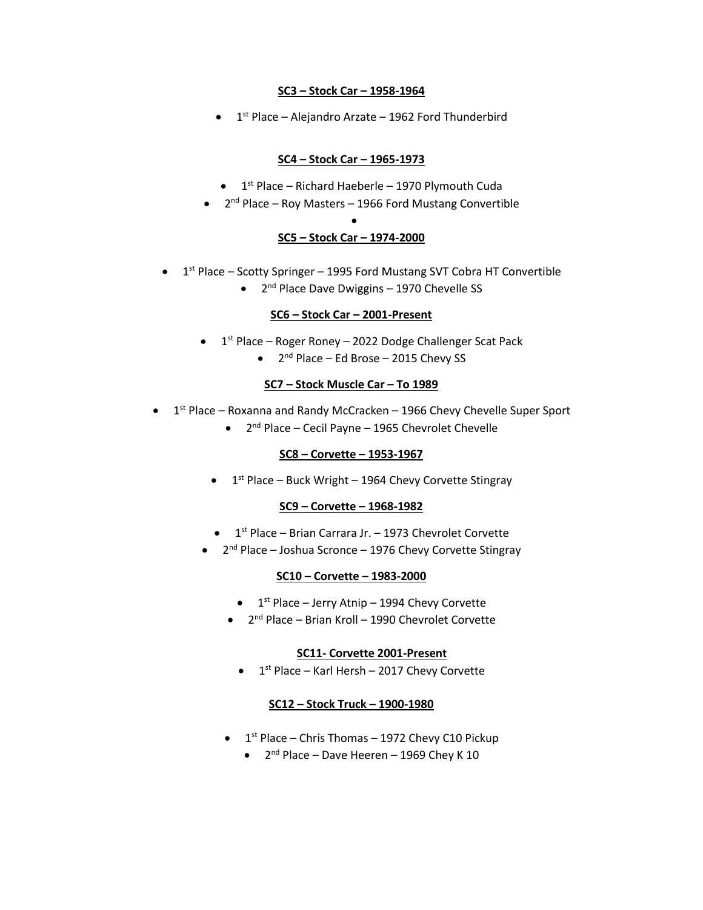#### **SC3 – Stock Car – 1958-1964**

 $\bullet$  1<sup>st</sup> Place – Alejandro Arzate – 1962 Ford Thunderbird

#### **SC4 – Stock Car – 1965-1973**

- $\bullet$  1<sup>st</sup> Place Richard Haeberle 1970 Plymouth Cuda
- $\bullet$  2<sup>nd</sup> Place Roy Masters 1966 Ford Mustang Convertible

#### • **SC5 – Stock Car – 1974-2000**

- $\bullet$  1<sup>st</sup> Place Scotty Springer 1995 Ford Mustang SVT Cobra HT Convertible
	- 2<sup>nd</sup> Place Dave Dwiggins 1970 Chevelle SS

#### **SC6 – Stock Car – 2001-Present**

- $\bullet$  1<sup>st</sup> Place Roger Roney 2022 Dodge Challenger Scat Pack
	- 2<sup>nd</sup> Place Ed Brose 2015 Chevy SS

#### **SC7 – Stock Muscle Car – To 1989**

- $\bullet$  1<sup>st</sup> Place Roxanna and Randy McCracken 1966 Chevy Chevelle Super Sport
	- 2<sup>nd</sup> Place Cecil Payne 1965 Chevrolet Chevelle

#### **SC8 – Corvette – 1953-1967**

 $\bullet$  1<sup>st</sup> Place – Buck Wright – 1964 Chevy Corvette Stingray

#### **SC9 – Corvette – 1968-1982**

- $\bullet$  1<sup>st</sup> Place Brian Carrara Jr. 1973 Chevrolet Corvette
- 2<sup>nd</sup> Place Joshua Scronce 1976 Chevy Corvette Stingray

#### **SC10 – Corvette – 1983-2000**

- $\bullet$  1<sup>st</sup> Place Jerry Atnip 1994 Chevy Corvette
- 2<sup>nd</sup> Place Brian Kroll 1990 Chevrolet Corvette

#### **SC11- Corvette 2001-Present**

 $\bullet$  1<sup>st</sup> Place – Karl Hersh – 2017 Chevy Corvette

#### **SC12 – Stock Truck – 1900-1980**

- $\bullet$  1<sup>st</sup> Place Chris Thomas 1972 Chevy C10 Pickup
	- $\bullet$  2<sup>nd</sup> Place Dave Heeren 1969 Chey K 10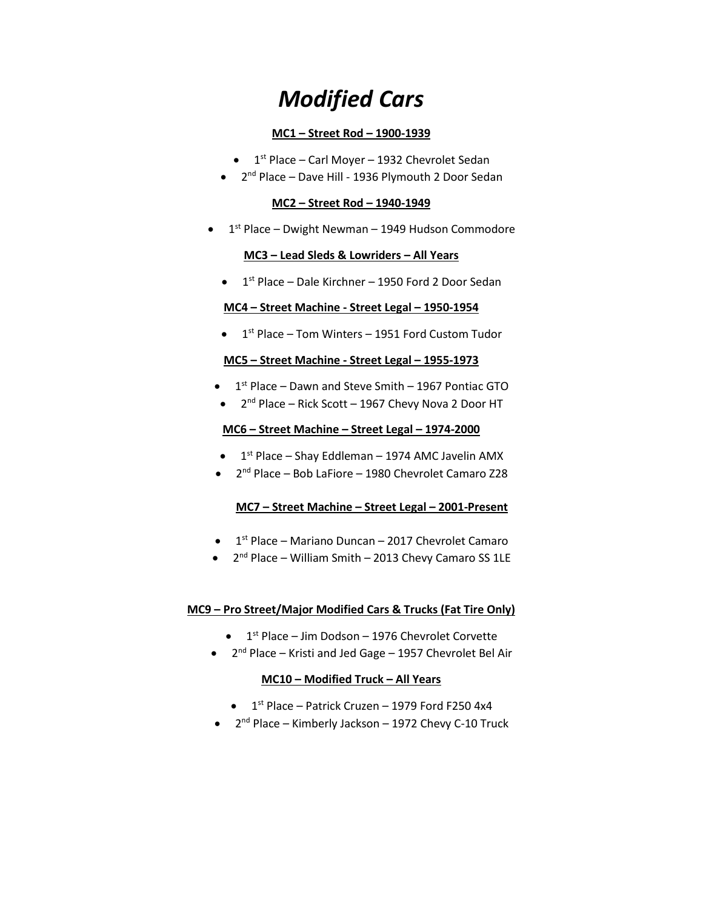## *Modified Cars*

#### **MC1 – Street Rod – 1900-1939**

- $\bullet$  1<sup>st</sup> Place Carl Moyer 1932 Chevrolet Sedan
- 2<sup>nd</sup> Place Dave Hill 1936 Plymouth 2 Door Sedan

#### **MC2 – Street Rod – 1940-1949**

 $\bullet$  1<sup>st</sup> Place – Dwight Newman – 1949 Hudson Commodore

#### **MC3 – Lead Sleds & Lowriders – All Years**

• 1<sup>st</sup> Place – Dale Kirchner – 1950 Ford 2 Door Sedan

#### **MC4 – Street Machine - Street Legal – 1950-1954**

 $\bullet$  1<sup>st</sup> Place – Tom Winters – 1951 Ford Custom Tudor

#### **MC5 – Street Machine - Street Legal – 1955-1973**

- $\bullet$  1<sup>st</sup> Place Dawn and Steve Smith 1967 Pontiac GTO
- 2<sup>nd</sup> Place Rick Scott 1967 Chevy Nova 2 Door HT

#### **MC6 – Street Machine – Street Legal – 1974-2000**

- $\bullet$  1<sup>st</sup> Place Shay Eddleman 1974 AMC Javelin AMX
- 2<sup>nd</sup> Place Bob LaFiore 1980 Chevrolet Camaro Z28

#### **MC7 – Street Machine – Street Legal – 2001-Present**

- 1<sup>st</sup> Place Mariano Duncan 2017 Chevrolet Camaro
- 2<sup>nd</sup> Place William Smith 2013 Chevy Camaro SS 1LE

#### **MC9 – Pro Street/Major Modified Cars & Trucks (Fat Tire Only)**

- $\bullet$  1<sup>st</sup> Place Jim Dodson 1976 Chevrolet Corvette
- 2<sup>nd</sup> Place Kristi and Jed Gage 1957 Chevrolet Bel Air

#### **MC10 – Modified Truck – All Years**

- $\bullet$  1<sup>st</sup> Place Patrick Cruzen 1979 Ford F250 4x4
- 2<sup>nd</sup> Place Kimberly Jackson 1972 Chevy C-10 Truck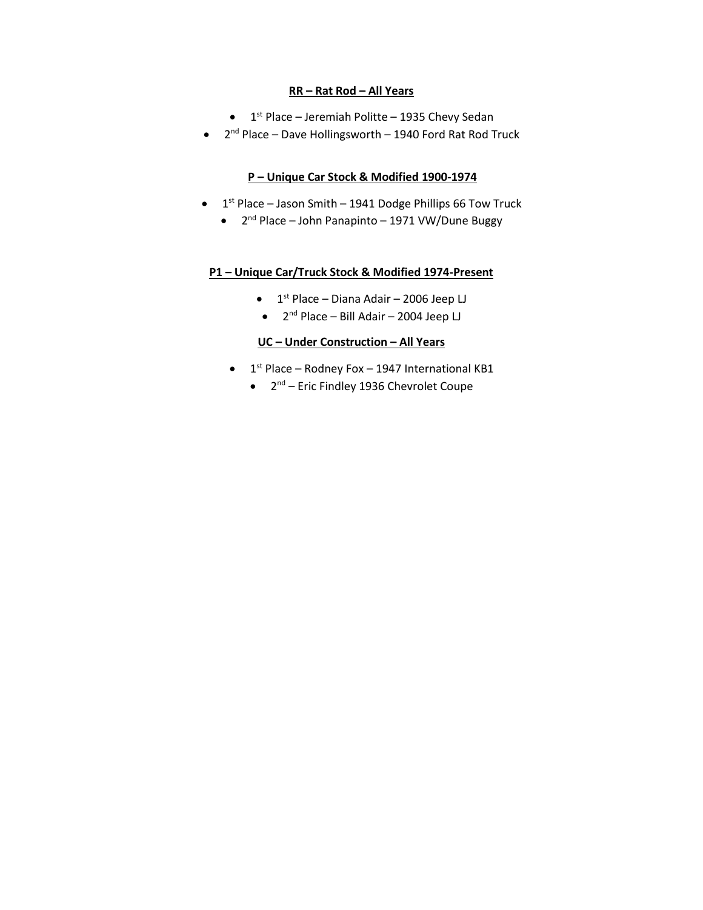#### **RR – Rat Rod – All Years**

- $\bullet$  1<sup>st</sup> Place Jeremiah Politte 1935 Chevy Sedan
- 2<sup>nd</sup> Place Dave Hollingsworth 1940 Ford Rat Rod Truck

#### **P – Unique Car Stock & Modified 1900-1974**

- $\bullet$  1<sup>st</sup> Place Jason Smith 1941 Dodge Phillips 66 Tow Truck
	- 2<sup>nd</sup> Place John Panapinto 1971 VW/Dune Buggy

#### **P1 – Unique Car/Truck Stock & Modified 1974-Present**

- $\bullet$  1<sup>st</sup> Place Diana Adair 2006 Jeep LJ
- 2<sup>nd</sup> Place Bill Adair 2004 Jeep LJ

#### **UC – Under Construction – All Years**

- $\bullet$  1<sup>st</sup> Place Rodney Fox 1947 International KB1
	- 2<sup>nd</sup> Eric Findley 1936 Chevrolet Coupe